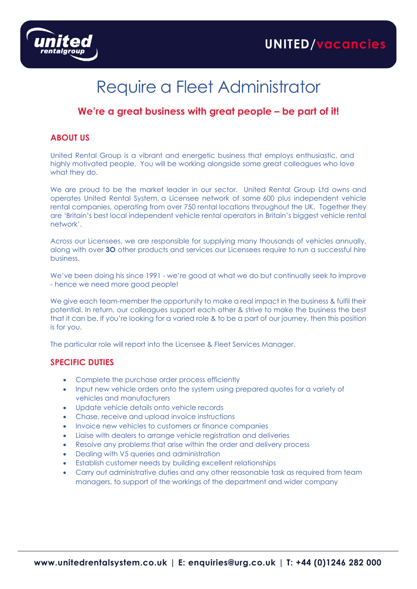

# Require a Fleet Administrator

## **We're a great business with great people – be part of it!**

#### **ABOUT US**

United Rental Group is a vibrant and energetic business that employs enthusiastic, and highly motivated people. You will be working alongside some great colleagues who love what they do.

We are proud to be the market leader in our sector. United Rental Group Ltd owns and operates United Rental System, a Licensee network of some 600 plus independent vehicle rental companies, operating from over 750 rental locations throughout the UK. Together they are 'Britain's best local independent vehicle rental operators in Britain's biggest vehicle rental network'.

Across our Licensees, we are responsible for supplying many thousands of vehicles annually, along with over **3O** other products and services our Licensees require to run a successful hire business.

We've been doing his since 1991 - we're good at what we do but continually seek to improve - hence we need more good people!

We give each team-member the opportunity to make a real impact in the business & fulfil their potential. In return, our colleagues support each other & strive to make the business the best that it can be. If you're looking for a varied role & to be a part of our journey, then this position is for you.

The particular role will report into the Licensee & Fleet Services Manager.

#### **SPECIFIC DUTIES**

- Complete the purchase order process efficiently
- Input new vehicle orders onto the system using prepared quotes for a variety of vehicles and manufacturers
- Update vehicle details onto vehicle records
- Chase, receive and upload invoice instructions
- Invoice new vehicles to customers or finance companies
- Liaise with dealers to arrange vehicle registration and deliveries
- Resolve any problems that arise within the order and delivery process
- Dealing with V5 queries and administration
- Establish customer needs by building excellent relationships
- Carry out administrative duties and any other reasonable task as required from team managers, to support of the workings of the department and wider company